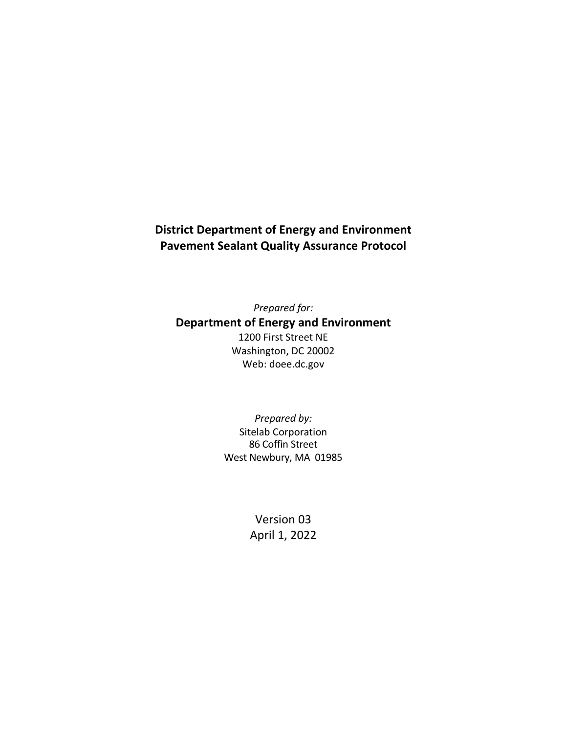# **District Department of Energy and Environment Pavement Sealant Quality Assurance Protocol**

*Prepared for:* **Department of Energy and Environment** 1200 First Street NE Washington, DC 20002 Web: doee.dc.gov

> *Prepared by:* Sitelab Corporation 86 Coffin Street West Newbury, MA 01985

> > Version 03 April 1, 2022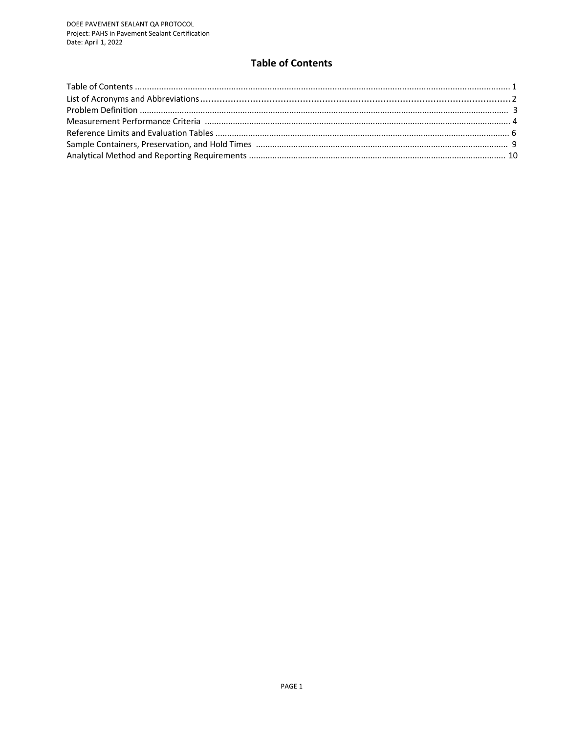# **Table of Contents**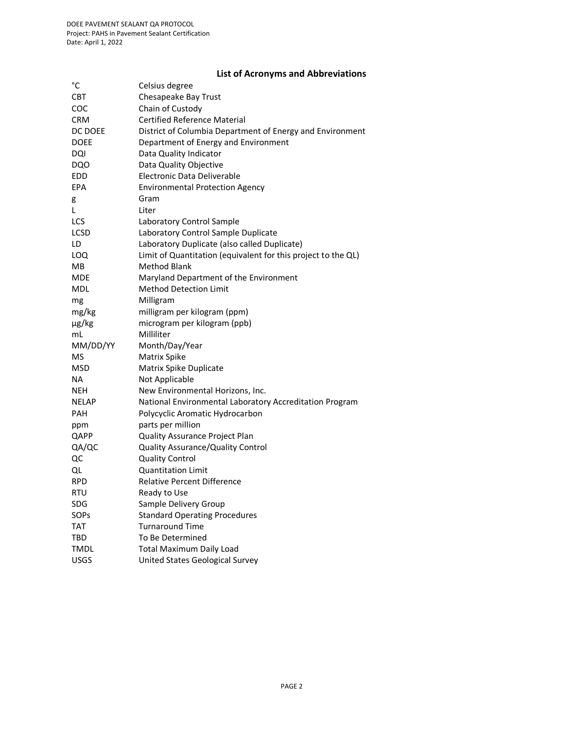# **List of Acronyms and Abbreviations**

| $^{\circ}{\rm C}$ | Celsius degree                                                |
|-------------------|---------------------------------------------------------------|
| <b>CBT</b>        | Chesapeake Bay Trust                                          |
| COC               | Chain of Custody                                              |
| <b>CRM</b>        | <b>Certified Reference Material</b>                           |
| DC DOEE           | District of Columbia Department of Energy and Environment     |
| <b>DOEE</b>       | Department of Energy and Environment                          |
| DQI               | Data Quality Indicator                                        |
| <b>DQO</b>        | Data Quality Objective                                        |
| EDD               | Electronic Data Deliverable                                   |
| EPA               | <b>Environmental Protection Agency</b>                        |
| g                 | Gram                                                          |
| L                 | Liter                                                         |
| LCS               | Laboratory Control Sample                                     |
| LCSD              | Laboratory Control Sample Duplicate                           |
| LD                | Laboratory Duplicate (also called Duplicate)                  |
| LOQ               | Limit of Quantitation (equivalent for this project to the QL) |
| MВ                | Method Blank                                                  |
| <b>MDE</b>        | Maryland Department of the Environment                        |
| <b>MDL</b>        | <b>Method Detection Limit</b>                                 |
| mg                | Milligram                                                     |
| mg/kg             | milligram per kilogram (ppm)                                  |
| µg/kg             | microgram per kilogram (ppb)                                  |
| mL                | Milliliter                                                    |
| MM/DD/YY          | Month/Day/Year                                                |
| MS                | Matrix Spike                                                  |
| <b>MSD</b>        | Matrix Spike Duplicate                                        |
| <b>NA</b>         | Not Applicable                                                |
| NEH               | New Environmental Horizons, Inc.                              |
| <b>NELAP</b>      | National Environmental Laboratory Accreditation Program       |
| <b>PAH</b>        | Polycyclic Aromatic Hydrocarbon                               |
| ppm               | parts per million                                             |
| QAPP              | Quality Assurance Project Plan                                |
| QA/QC             | Quality Assurance/Quality Control                             |
| QC                | <b>Quality Control</b>                                        |
| QL                | <b>Quantitation Limit</b>                                     |
| <b>RPD</b>        | <b>Relative Percent Difference</b>                            |
| RTU               | Ready to Use                                                  |
| SDG               | Sample Delivery Group                                         |
| SOPs              | <b>Standard Operating Procedures</b>                          |
| TAT               | <b>Turnaround Time</b>                                        |
| TBD               | To Be Determined                                              |
| <b>TMDL</b>       | <b>Total Maximum Daily Load</b>                               |
| <b>USGS</b>       | United States Geological Survey                               |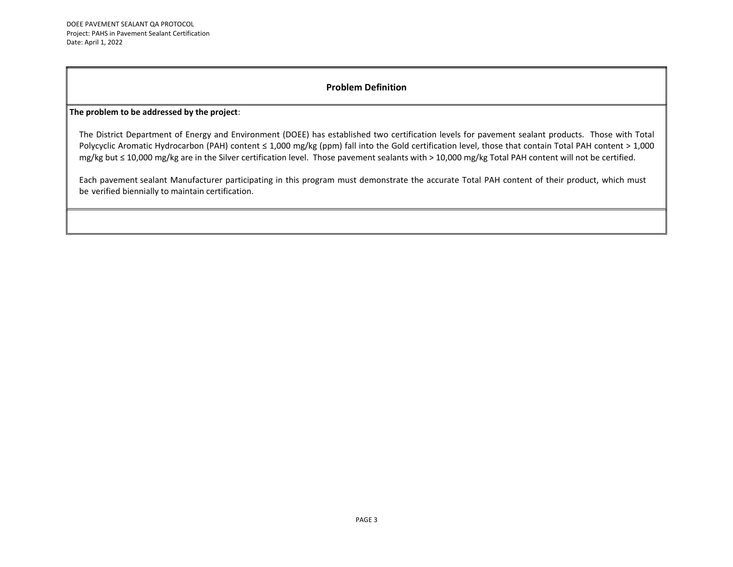# **Problem Definition**

#### **The problem to be addressed by the project**:

The District Department of Energy and Environment (DOEE) has established two certification levels for pavement sealant products. Those with Total Polycyclic Aromatic Hydrocarbon (PAH) content ≤ 1,000 mg/kg (ppm) fall into the Gold certification level, those that contain Total PAH content > 1,000 mg/kg but ≤ 10,000 mg/kg are in the Silver certification level. Those pavement sealants with > 10,000 mg/kg Total PAH content will not be certified.

Each pavement sealant Manufacturer participating in this program must demonstrate the accurate Total PAH content of their product, which must be verified biennially to maintain certification.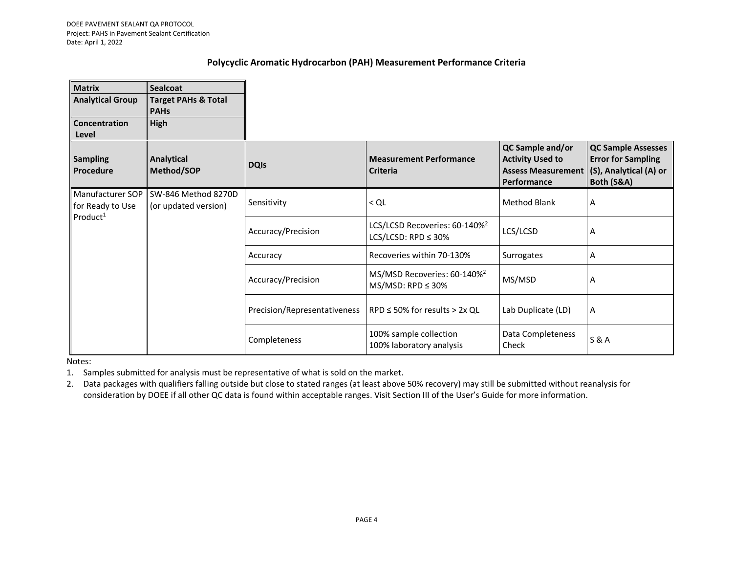### **Polycyclic Aromatic Hydrocarbon (PAH) Measurement Performance Criteria**

| <b>Matrix</b>                        | <b>Sealcoat</b>                               |                              |                                                                       |                                                                                         |                                                                                                |   |
|--------------------------------------|-----------------------------------------------|------------------------------|-----------------------------------------------------------------------|-----------------------------------------------------------------------------------------|------------------------------------------------------------------------------------------------|---|
| <b>Analytical Group</b>              | <b>Target PAHs &amp; Total</b><br><b>PAHs</b> |                              |                                                                       |                                                                                         |                                                                                                |   |
| <b>Concentration</b><br>Level        | High                                          |                              |                                                                       |                                                                                         |                                                                                                |   |
| <b>Sampling</b><br>Procedure         | Analytical<br>Method/SOP                      | <b>DQIs</b>                  | <b>Measurement Performance</b><br><b>Criteria</b>                     | QC Sample and/or<br><b>Activity Used to</b><br><b>Assess Measurement</b><br>Performance | <b>QC Sample Assesses</b><br><b>Error for Sampling</b><br>(S), Analytical (A) or<br>Both (S&A) |   |
| Manufacturer SOP<br>for Ready to Use | SW-846 Method 8270D<br>(or updated version)   | Sensitivity                  | $<$ QL                                                                | <b>Method Blank</b>                                                                     | Α                                                                                              |   |
| Product <sup>1</sup>                 |                                               | Accuracy/Precision           | LCS/LCSD Recoveries: 60-140% <sup>2</sup><br>LCS/LCSD: RPD $\leq$ 30% | LCS/LCSD                                                                                | Α                                                                                              |   |
|                                      |                                               | Accuracy                     | Recoveries within 70-130%                                             | Surrogates                                                                              | Α                                                                                              |   |
|                                      |                                               |                              | Accuracy/Precision                                                    | MS/MSD Recoveries: 60-140% <sup>2</sup><br>$MS/MSD: RPD \leq 30\%$                      | MS/MSD                                                                                         | A |
|                                      |                                               | Precision/Representativeness | $RPD \le 50\%$ for results > 2x QL                                    | Lab Duplicate (LD)                                                                      | Α                                                                                              |   |
|                                      |                                               | Completeness                 | 100% sample collection<br>100% laboratory analysis                    | Data Completeness<br>Check                                                              | S & A                                                                                          |   |

Notes:

1. Samples submitted for analysis must be representative of what is sold on the market.

2. Data packages with qualifiers falling outside but close to stated ranges (at least above 50% recovery) may still be submitted without reanalysis for consideration by DOEE if all other QC data is found within acceptable ranges. Visit Section III of the User's Guide for more information.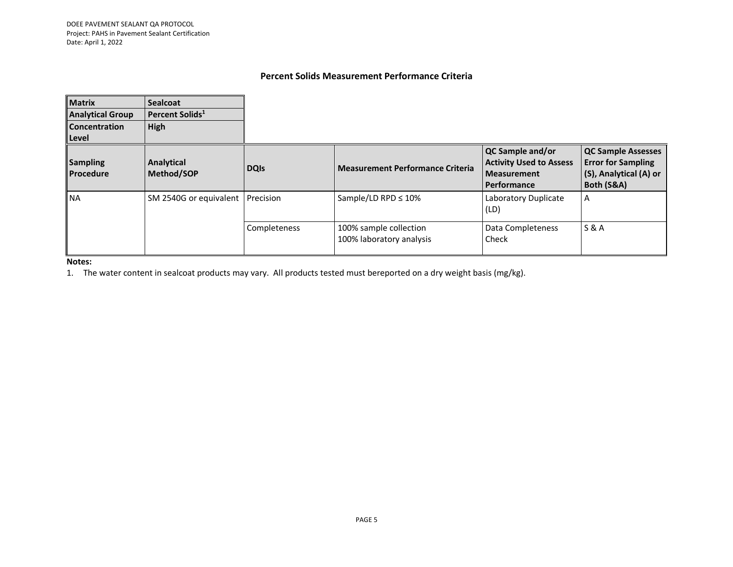# **Percent Solids Measurement Performance Criteria**

| <b>Matrix</b><br><b>Analytical Group</b><br><b>Concentration</b><br>l Level | <b>Sealcoat</b><br>Percent Solids <sup>1</sup><br><b>High</b> |              |                                                    |                                                                                                |                                                                                                |
|-----------------------------------------------------------------------------|---------------------------------------------------------------|--------------|----------------------------------------------------|------------------------------------------------------------------------------------------------|------------------------------------------------------------------------------------------------|
| <b>Sampling</b><br>Procedure                                                | Analytical<br>Method/SOP                                      | <b>DQIs</b>  | <b>Measurement Performance Criteria</b>            | QC Sample and/or<br><b>Activity Used to Assess</b><br><b>Measurement</b><br><b>Performance</b> | <b>QC Sample Assesses</b><br><b>Error for Sampling</b><br>(S), Analytical (A) or<br>Both (S&A) |
| <b>NA</b>                                                                   | SM 2540G or equivalent                                        | Precision    | Sample/LD RPD $\leq 10\%$                          | Laboratory Duplicate<br>(LD)                                                                   | A                                                                                              |
|                                                                             |                                                               | Completeness | 100% sample collection<br>100% laboratory analysis | Data Completeness<br>Check                                                                     | <b>S&amp;A</b>                                                                                 |

#### **Notes:**

1. The water content in sealcoat products may vary. All products tested must bereported on a dry weight basis (mg/kg).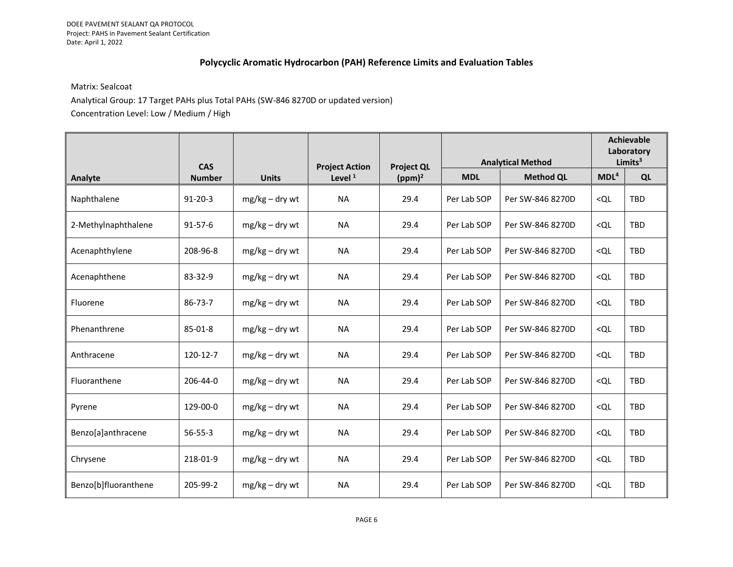# **Polycyclic Aromatic Hydrocarbon (PAH) Reference Limits and Evaluation Tables**

#### Matrix: Sealcoat

Analytical Group: 17 Target PAHs plus Total PAHs (SW-846 8270D or updated version) Concentration Level: Low / Medium / High

|                      | <b>CAS</b>    |                  |                                    | <b>Project QL</b> | <b>Analytical Method</b> |                  | <b>Achievable</b><br>Laboratory<br>Limits <sup>3</sup> |            |
|----------------------|---------------|------------------|------------------------------------|-------------------|--------------------------|------------------|--------------------------------------------------------|------------|
| Analyte              | <b>Number</b> | <b>Units</b>     | <b>Project Action</b><br>Level $1$ | $(ppm)^2$         | <b>MDL</b>               | <b>Method QL</b> | MDL <sup>4</sup>                                       | QL         |
| Naphthalene          | $91 - 20 - 3$ | $mg/kg - dry wt$ | <b>NA</b>                          | 29.4              | Per Lab SOP              | Per SW-846 8270D | <ql< td=""><td>TBD</td></ql<>                          | TBD        |
| 2-Methylnaphthalene  | $91 - 57 - 6$ | $mg/kg - dry wt$ | <b>NA</b>                          | 29.4              | Per Lab SOP              | Per SW-846 8270D | < Q <sub>L</sub>                                       | TBD        |
| Acenaphthylene       | 208-96-8      | $mg/kg - dry wt$ | <b>NA</b>                          | 29.4              | Per Lab SOP              | Per SW-846 8270D | < Q <sub>L</sub>                                       | <b>TBD</b> |
| Acenaphthene         | 83-32-9       | $mg/kg - dry wt$ | <b>NA</b>                          | 29.4              | Per Lab SOP              | Per SW-846 8270D | < Q <sub>L</sub>                                       | TBD        |
| Fluorene             | 86-73-7       | $mg/kg - dry wt$ | <b>NA</b>                          | 29.4              | Per Lab SOP              | Per SW-846 8270D | < Q <sub>L</sub>                                       | TBD        |
| Phenanthrene         | 85-01-8       | $mg/kg - drywt$  | <b>NA</b>                          | 29.4              | Per Lab SOP              | Per SW-846 8270D | < Q <sub>L</sub>                                       | TBD        |
| Anthracene           | 120-12-7      | $mg/kg - dry wt$ | <b>NA</b>                          | 29.4              | Per Lab SOP              | Per SW-846 8270D | < QL                                                   | TBD        |
| Fluoranthene         | 206-44-0      | mg/kg – dry wt   | <b>NA</b>                          | 29.4              | Per Lab SOP              | Per SW-846 8270D | < Q <sub>L</sub>                                       | <b>TBD</b> |
| Pyrene               | 129-00-0      | $mg/kg - dry wt$ | <b>NA</b>                          | 29.4              | Per Lab SOP              | Per SW-846 8270D | < Q <sub>L</sub>                                       | <b>TBD</b> |
| Benzo[a]anthracene   | $56 - 55 - 3$ | $mg/kg - dry wt$ | <b>NA</b>                          | 29.4              | Per Lab SOP              | Per SW-846 8270D | < Q <sub>L</sub>                                       | <b>TBD</b> |
| Chrysene             | 218-01-9      | $mg/kg - dry wt$ | <b>NA</b>                          | 29.4              | Per Lab SOP              | Per SW-846 8270D | < Q <sub>L</sub>                                       | TBD        |
| Benzo[b]fluoranthene | 205-99-2      | $mg/kg - dry wt$ | <b>NA</b>                          | 29.4              | Per Lab SOP              | Per SW-846 8270D | <ql< td=""><td><b>TBD</b></td></ql<>                   | <b>TBD</b> |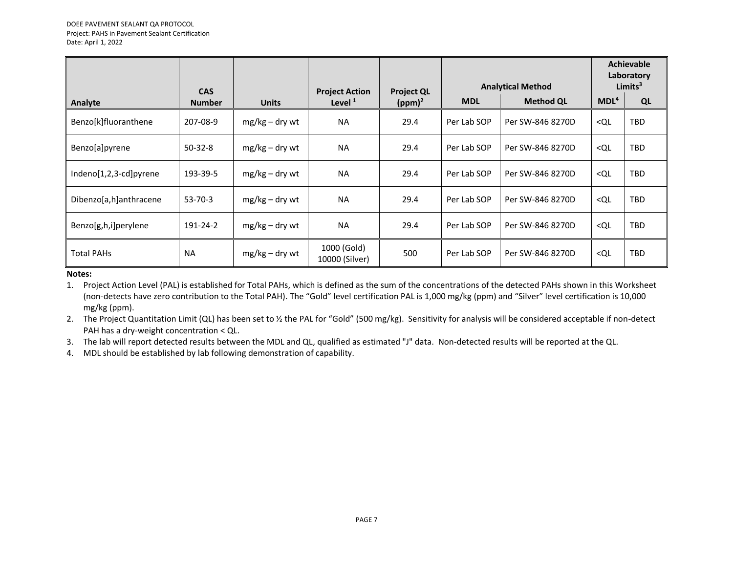|                          |                             |                  |                                    |                                | <b>Analytical Method</b> |                  | <b>Achievable</b><br>Laboratory<br>Limits $3$ |            |
|--------------------------|-----------------------------|------------------|------------------------------------|--------------------------------|--------------------------|------------------|-----------------------------------------------|------------|
| Analyte                  | <b>CAS</b><br><b>Number</b> | <b>Units</b>     | <b>Project Action</b><br>Level $1$ | <b>Project QL</b><br>$(ppm)^2$ | <b>MDL</b>               | <b>Method QL</b> | MDL <sup>4</sup>                              | QL         |
| Benzo[k]fluoranthene     | 207-08-9                    | $mg/kg - dry wt$ | <b>NA</b>                          | 29.4                           | Per Lab SOP              | Per SW-846 8270D | < Q <sub>L</sub>                              | <b>TBD</b> |
| Benzo[a]pyrene           | $50-32-8$                   | $mg/kg - drywt$  | <b>NA</b>                          | 29.4                           | Per Lab SOP              | Per SW-846 8270D | < QL                                          | <b>TBD</b> |
| $Indeno[1,2,3-cd]pyrene$ | 193-39-5                    | $mg/kg - drywt$  | <b>NA</b>                          | 29.4                           | Per Lab SOP              | Per SW-846 8270D | < Q <sub>L</sub>                              | <b>TBD</b> |
| Dibenzo[a,h]anthracene   | $53 - 70 - 3$               | $mg/kg - drywt$  | <b>NA</b>                          | 29.4                           | Per Lab SOP              | Per SW-846 8270D | < Q <sub>L</sub>                              | <b>TBD</b> |
| Benzo[g,h,i]perylene     | 191-24-2                    | $mg/kg - drywt$  | <b>NA</b>                          | 29.4                           | Per Lab SOP              | Per SW-846 8270D | < QL                                          | <b>TBD</b> |
| <b>Total PAHs</b>        | <b>NA</b>                   | $mg/kg - drywt$  | 1000 (Gold)<br>10000 (Silver)      | 500                            | Per Lab SOP              | Per SW-846 8270D | < QL                                          | <b>TBD</b> |

#### **Notes:**

1. Project Action Level (PAL) is established for Total PAHs, which is defined as the sum of the concentrations of the detected PAHs shown in this Worksheet (non-detects have zero contribution to the Total PAH). The "Gold" level certification PAL is 1,000 mg/kg (ppm) and "Silver" level certification is 10,000 mg/kg (ppm).

2. The Project Quantitation Limit (QL) has been set to % the PAL for "Gold" (500 mg/kg). Sensitivity for analysis will be considered acceptable if non-detect PAH has a dry-weight concentration < QL.

3. The lab will report detected results between the MDL and QL, qualified as estimated "J" data. Non-detected results will be reported at the QL.

4. MDL should be established by lab following demonstration of capability.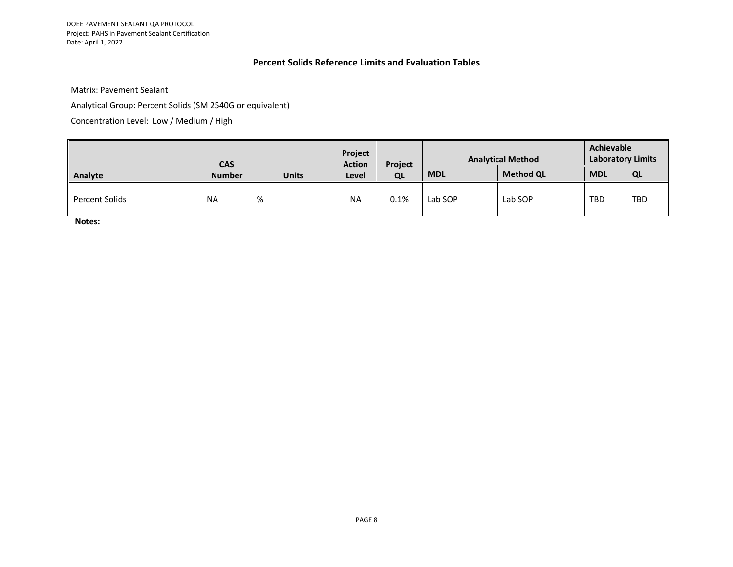DOEE PAVEMENT SEALANT QA PROTOCOL Project: PAHS in Pavement Sealant Certification Date: April 1, 2022

### **Percent Solids Reference Limits and Evaluation Tables**

Matrix: Pavement Sealant

Analytical Group: Percent Solids (SM 2540G or equivalent)

Concentration Level: Low / Medium / High

|                | <b>CAS</b>    |              | Project<br><b>Action</b> | Project | <b>Analytical Method</b> |                  | Achievable<br><b>Laboratory Limits</b> |            |
|----------------|---------------|--------------|--------------------------|---------|--------------------------|------------------|----------------------------------------|------------|
| Analyte        | <b>Number</b> | <b>Units</b> | Level                    | QL      | <b>MDL</b>               | <b>Method QL</b> | <b>MDL</b>                             | QL         |
| Percent Solids | <b>NA</b>     | %            | <b>NA</b>                | $0.1\%$ | Lab SOP                  | Lab SOP          | <b>TBD</b>                             | <b>TBD</b> |

**Notes:**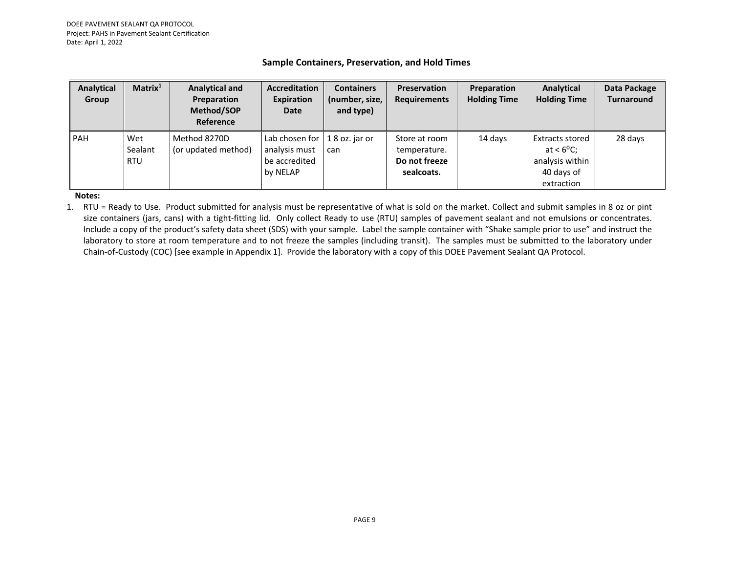#### **Sample Containers, Preservation, and Hold Times**

| Analytical<br>Group | Matrix <sup>1</sup>          | <b>Analytical and</b><br>Preparation<br>Method/SOP<br>Reference | <b>Accreditation</b><br><b>Expiration</b><br>Date                | <b>Containers</b><br>(number, size,<br>and type) | <b>Preservation</b><br><b>Requirements</b>                   | Preparation<br><b>Holding Time</b> | Analytical<br><b>Holding Time</b>                                                     | Data Package<br><b>Turnaround</b> |
|---------------------|------------------------------|-----------------------------------------------------------------|------------------------------------------------------------------|--------------------------------------------------|--------------------------------------------------------------|------------------------------------|---------------------------------------------------------------------------------------|-----------------------------------|
| <b>PAH</b>          | Wet<br>Sealant<br><b>RTU</b> | Method 8270D<br>(or updated method)                             | Lab chosen for $ $<br>analysis must<br>be accredited<br>by NELAP | 18 oz. jar or<br>can                             | Store at room<br>temperature.<br>Do not freeze<br>sealcoats. | 14 days                            | Extracts stored<br>at $< 6^{\circ}$ C;<br>analysis within<br>40 days of<br>extraction | 28 days                           |

**Notes:**

1. RTU = Ready to Use. Product submitted for analysis must be representative of what is sold on the market. Collect and submit samples in 8 oz or pint size containers (jars, cans) with a tight-fitting lid. Only collect Ready to use (RTU) samples of pavement sealant and not emulsions or concentrates. Include a copy of the product's safety data sheet (SDS) with your sample. Label the sample container with "Shake sample prior to use" and instruct the laboratory to store at room temperature and to not freeze the samples (including transit). The samples must be submitted to the laboratory under Chain-of-Custody (COC) [see example in Appendix 1]. Provide the laboratory with a copy of this DOEE Pavement Sealant QA Protocol.